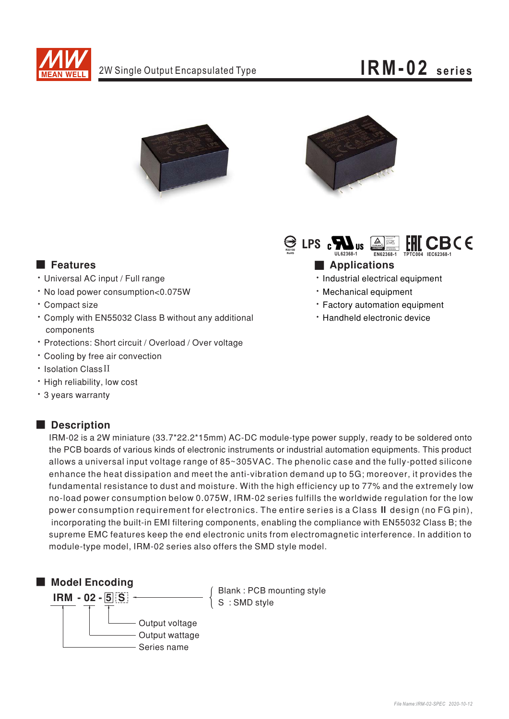

### IRM-02 series





 $\bigoplus$  LPS  $_{\textrm{c}}$   $\blacksquare$   $_{\textrm{\tiny{US}}}$ CBC E

**Applications** 

- · Industrial electrical equipment
- · Mechanical equipment
- \* Factory automation equipment
- · Handheld electronic device

### **Executer** Features

- · Universal AC input / Full range
- · No load power consumption<0.075W
- · Compact size
- \* Comply with EN55032 Class B without any additional components
- · Protections: Short circuit / Overload / Over voltage
- Cooling by free air convection
- · Isolation Class II
- · High reliability, low cost
- \* 3 years warranty

#### Description

IRM-02 is a 2W miniature (33.7\*22.2\*15mm) AC-DC module-type power supply, ready to be soldered onto the PCB boards of various kinds of electronic instruments or industrial automation equipments. This product allows a universal input voltage range of 85~305VAC. The phenolic case and the fully-potted silicone enhance the heat dissipation and meet the anti-vibration demand up to 5G; moreover, it provides the fundamental resistance to dust and moisture. With the high efficiency up to 77% and the extremely low no-load power consumption below 0.075W, IRM-02 series fulfills the worldwide regulation for the low power consumption requirement for electronics. The entire series is a Class II design (no FG pin), incorporating the built-in EMI filtering components, enabling the compliance with EN55032 Class B; the supreme EMC features keep the end electronic units from electromagnetic interference. In addition to module-type model, IRM-02 series also offers the SMD style model.



Blank: PCB mounting style<br>S: SMD style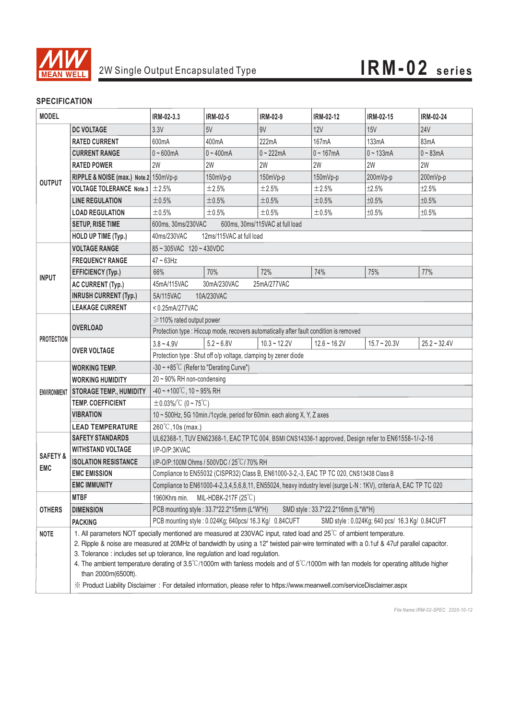

#### **SPECIFICATION**

| <b>MODEL</b>                      |                                            | IRM-02-3.3                                                                                                                                      | IRM-02-5     | IRM-02-9       | IRM-02-12      | IRM-02-15      | IRM-02-24      |
|-----------------------------------|--------------------------------------------|-------------------------------------------------------------------------------------------------------------------------------------------------|--------------|----------------|----------------|----------------|----------------|
| <b>OUTPUT</b>                     | <b>DC VOLTAGE</b>                          | 3.3V                                                                                                                                            | 5V           | 9V             | <b>12V</b>     | <b>15V</b>     | <b>24V</b>     |
|                                   | <b>RATED CURRENT</b>                       | 600mA                                                                                                                                           | 400mA        | 222mA          | 167mA          | 133mA          | 83mA           |
|                                   | <b>CURRENT RANGE</b>                       | $0 - 600$ mA                                                                                                                                    | $0 - 400$ mA | $0 - 222mA$    | $0 - 167mA$    | $0 - 133mA$    | $0 - 83mA$     |
|                                   | <b>RATED POWER</b>                         | 2W                                                                                                                                              | 2W           | 2W             | 2W             | 2W             | 2W             |
|                                   | RIPPLE & NOISE (max.) Note.2 150mVp-p      |                                                                                                                                                 | 150mVp-p     | 150mVp-p       | 150mVp-p       | 200mVp-p       | 200mVp-p       |
|                                   | <b>VOLTAGE TOLERANCE</b> Note.3 $\pm$ 2.5% |                                                                                                                                                 | ±2.5%        | ±2.5%          | ±2.5%          | ±2.5%          | ±2.5%          |
|                                   | <b>LINE REGULATION</b>                     | ±0.5%                                                                                                                                           | $\pm 0.5\%$  | ±0.5%          | ±0.5%          | ±0.5%          | ±0.5%          |
|                                   | <b>LOAD REGULATION</b>                     | ±0.5%                                                                                                                                           | ±0.5%        | ±0.5%          | ±0.5%          | ±0.5%          | ±0.5%          |
|                                   | <b>SETUP, RISE TIME</b>                    | 600ms, 30ms/230VAC<br>600ms, 30ms/115VAC at full load                                                                                           |              |                |                |                |                |
|                                   | <b>HOLD UP TIME (Typ.)</b>                 | 40ms/230VAC<br>12ms/115VAC at full load                                                                                                         |              |                |                |                |                |
| <b>INPUT</b>                      | <b>VOLTAGE RANGE</b>                       | 85~305VAC 120~430VDC                                                                                                                            |              |                |                |                |                |
|                                   | <b>FREQUENCY RANGE</b>                     | $47 \sim 63$ Hz                                                                                                                                 |              |                |                |                |                |
|                                   | <b>EFFICIENCY (Typ.)</b>                   | 66%                                                                                                                                             | 70%          | 72%            | 74%            | 75%            | 77%            |
|                                   | <b>AC CURRENT (Typ.)</b>                   | 45mA/115VAC<br>30mA/230VAC<br>25mA/277VAC                                                                                                       |              |                |                |                |                |
|                                   | <b>INRUSH CURRENT (Typ.)</b>               | 5A/115VAC<br>10A/230VAC                                                                                                                         |              |                |                |                |                |
|                                   | <b>LEAKAGE CURRENT</b>                     | <0.25mA/277VAC                                                                                                                                  |              |                |                |                |                |
| <b>PROTECTION</b>                 | <b>OVERLOAD</b>                            | ≥110% rated output power                                                                                                                        |              |                |                |                |                |
|                                   |                                            | Protection type : Hiccup mode, recovers automatically after fault condition is removed                                                          |              |                |                |                |                |
|                                   | <b>OVER VOLTAGE</b>                        | $3.8 - 4.9V$                                                                                                                                    | $5.2 - 6.8V$ | $10.3 - 12.2V$ | $12.6 - 16.2V$ | $15.7 - 20.3V$ | $25.2 - 32.4V$ |
|                                   |                                            | Protection type : Shut off o/p voltage, clamping by zener diode                                                                                 |              |                |                |                |                |
| <b>ENVIRONMENT</b>                | <b>WORKING TEMP.</b>                       | -30 $\sim$ +85°C (Refer to "Derating Curve")                                                                                                    |              |                |                |                |                |
|                                   | <b>WORKING HUMIDITY</b>                    | $20 \sim 90\%$ RH non-condensing                                                                                                                |              |                |                |                |                |
|                                   | <b>STORAGE TEMP., HUMIDITY</b>             | $-40 \sim +100^{\circ}$ C, 10 ~ 95% RH                                                                                                          |              |                |                |                |                |
|                                   | <b>TEMP. COEFFICIENT</b>                   | $\pm$ 0.03%/°C (0~75°C)                                                                                                                         |              |                |                |                |                |
|                                   | VIBRATION                                  | 10 ~ 500Hz, 5G 10min./1cycle, period for 60min. each along X, Y, Z axes                                                                         |              |                |                |                |                |
|                                   | <b>LEAD TEMPERATURE</b>                    | $260^{\circ}$ C, 10s (max.)                                                                                                                     |              |                |                |                |                |
| <b>SAFETY &amp;</b><br><b>EMC</b> | <b>SAFETY STANDARDS</b>                    | UL62368-1, TUV EN62368-1, EAC TP TC 004, BSMI CNS14336-1 approved, Design refer to EN61558-1/-2-16                                              |              |                |                |                |                |
|                                   | <b>WITHSTAND VOLTAGE</b>                   | I/P-O/P:3KVAC                                                                                                                                   |              |                |                |                |                |
|                                   | <b>ISOLATION RESISTANCE</b>                | I/P-O/P:100M Ohms / 500VDC / 25°C / 70% RH                                                                                                      |              |                |                |                |                |
|                                   | <b>EMC EMISSION</b>                        | Compliance to EN55032 (CISPR32) Class B, EN61000-3-2,-3, EAC TP TC 020, CNS13438 Class B                                                        |              |                |                |                |                |
|                                   | <b>EMC IMMUNITY</b>                        | Compliance to EN61000-4-2,3,4,5,6,8,11, EN55024, heavy industry level (surge L-N: 1KV), criteria A, EAC TP TC 020                               |              |                |                |                |                |
| <b>OTHERS</b>                     | <b>MTBF</b>                                | MIL-HDBK-217F $(25^{\circ}C)$<br>1960Khrs min.                                                                                                  |              |                |                |                |                |
|                                   | <b>DIMENSION</b>                           | PCB mounting style: 33.7*22.2*15mm (L*W*H)<br>SMD style: 33.7*22.2*16mm (L*W*H)                                                                 |              |                |                |                |                |
|                                   | <b>PACKING</b>                             | PCB mounting style: 0.024Kg; 640pcs/ 16.3 Kg/ 0.84CUFT<br>SMD style: 0.024Kg; 640 pcs/ 16.3 Kg/ 0.84CUFT                                        |              |                |                |                |                |
| <b>NOTE</b>                       |                                            | 1. All parameters NOT specially mentioned are measured at 230VAC input, rated load and 25°C of ambient temperature.                             |              |                |                |                |                |
|                                   |                                            | 2. Ripple & noise are measured at 20MHz of bandwidth by using a 12" twisted pair-wire terminated with a 0.1uf & 47uf parallel capacitor.        |              |                |                |                |                |
|                                   |                                            | 3. Tolerance : includes set up tolerance, line regulation and load regulation.                                                                  |              |                |                |                |                |
|                                   | than 2000m(6500ft).                        | 4. The ambient temperature derating of 3.5°C/1000m with fanless models and of $5^{\circ}$ C/1000m with fan models for operating altitude higher |              |                |                |                |                |
|                                   |                                            | X Product Liability Disclaimer: For detailed information, please refer to https://www.meanwell.com/serviceDisclaimer.aspx                       |              |                |                |                |                |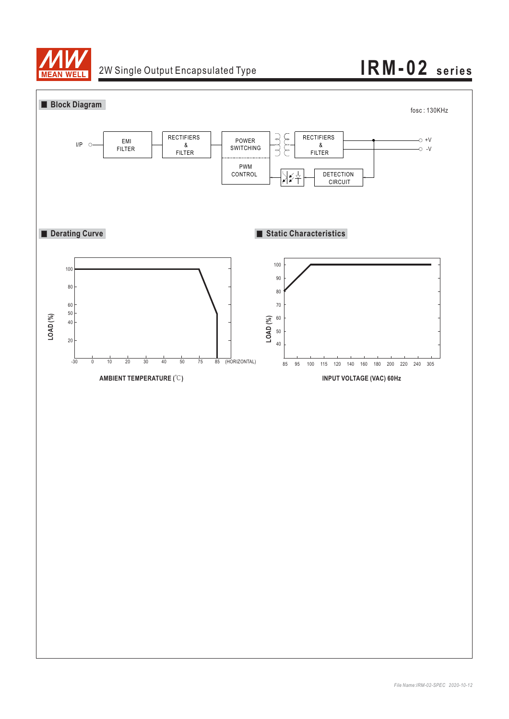

## 2W Single Output Encapsulated Type **IRM-02 series**